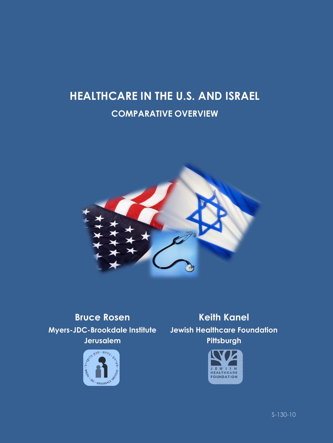# **HEALTHCARE IN THE U.S. AND ISRAEL COMPARATIVE OVERVIEW**



**Myers-JDC-Brookdale Institute Jewish Healthcare Foundation Jerusalem**



**Bruce Rosen Keith Kanel Pittsburgh**



S-130-10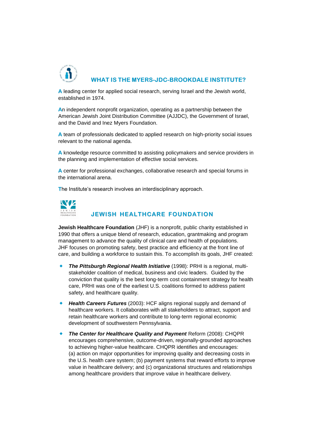

**A** leading center for applied social research, serving Israel and the Jewish world, established in 1974.

**A**n independent nonprofit organization, operating as a partnership between the American Jewish Joint Distribution Committee (AJJDC), the Government of Israel, and the David and Inez Myers Foundation.

**A** team of professionals dedicated to applied research on high-priority social issues relevant to the national agenda.

**A** knowledge resource committed to assisting policymakers and service providers in the planning and implementation of effective social services.

**A** center for professional exchanges, collaborative research and special forums in the international arena.

**T**he Institute's research involves an interdisciplinary approach.



#### **JEWISH HEALTHCARE FOUNDATION**

**Jewish Healthcare Foundation** (JHF) is a nonprofit, public charity established in 1990 that offers a unique blend of research, education, grantmaking and program management to advance the quality of clinical care and health of populations. JHF focuses on promoting safety, best practice and efficiency at the front line of care, and building a workforce to sustain this. To accomplish its goals, JHF created:

- *The Pittsburgh Regional Health Initiative* (1998): PRHI is a regional, multistakeholder coalition of medical, business and civic leaders. Guided by the conviction that quality is the best long-term cost containment strategy for health care, PRHI was one of the earliest U.S. coalitions formed to address patient safety, and healthcare quality.
- *Health Careers Futures* (2003): HCF aligns regional supply and demand of healthcare workers. It collaborates with all stakeholders to attract, support and retain healthcare workers and contribute to long-term regional economic development of southwestern Pennsylvania.
- *The Center for Healthcare Quality and Payment* Reform (2008): CHQPR encourages comprehensive, outcome-driven, regionally-grounded approaches to achieving higher-value healthcare. CHQPR identifies and encourages: (a) action on major opportunities for improving quality and decreasing costs in the U.S. health care system; (b) payment systems that reward efforts to improve value in healthcare delivery; and (c) organizational structures and relationships among healthcare providers that improve value in healthcare delivery.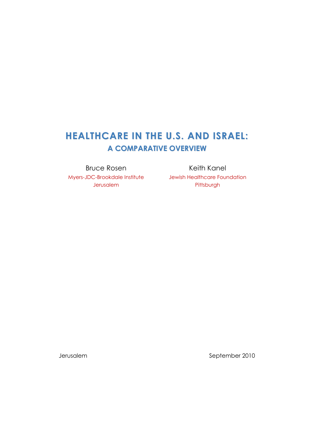# **HEALTHCARE IN THE U.S. AND ISRAEL: A COMPARATIVE OVERVIEW**

Myers-JDC-Brookdale Institute Jewish Healthcare Foundation Jerusalem

Bruce Rosen Keith Kanel **Pittsburgh** 

Jerusalem September 2010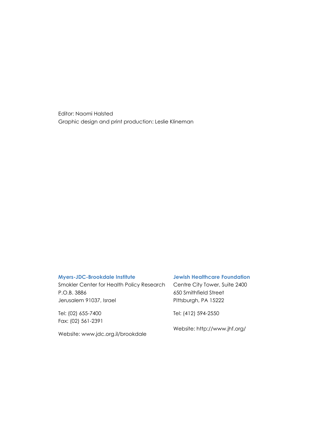Editor: Naomi Halsted Graphic design and print production: Leslie Klineman

#### **Myers-JDC-Brookdale Institute**

Smokler Center for Health Policy Research P.O.B. 3886 Jerusalem 91037, Israel

Tel: (02) 655-7400 Fax: (02) 561-2391

Website: [www.jdc.org.il/brookdale](http://www.jdc.org.il/brookdale)

#### **Jewish Healthcare Foundation**

Centre City Tower, Suite 2400 650 Smithfield Street Pittsburgh, PA 15222

Tel: (412) 594-2550

Website:<http://www.jhf.org/>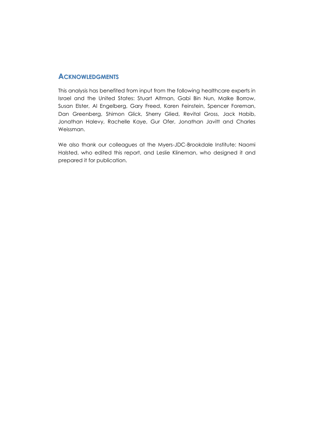### **ACKNOWLEDGMENTS**

This analysis has benefited from input from the following healthcare experts in Israel and the United States: Stuart Altman, Gabi Bin Nun, Malke Borrow, Susan Elster, Al Engelberg, Gary Freed, Karen Feinstein, Spencer Foreman, Dan Greenberg, Shimon Glick, Sherry Glied, Revital Gross, Jack Habib, Jonathan Halevy, Rachelle Kaye, Gur Ofer, Jonathan Javitt and Charles Weissman.

We also thank our colleagues at the Myers-JDC-Brookdale Institute: Naomi Halsted, who edited this report, and Leslie Klineman, who designed it and prepared it for publication.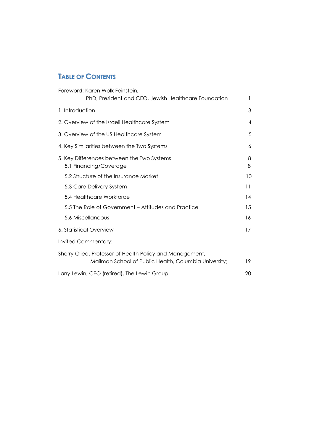# **TABLE OF CONTENTS**

| Foreword: Karen Wolk Feinstein,                                                                                   |        |
|-------------------------------------------------------------------------------------------------------------------|--------|
| PhD, President and CEO, Jewish Healthcare Foundation                                                              | 1      |
| 1. Introduction                                                                                                   | 3      |
| 2. Overview of the Israeli Healthcare System                                                                      | 4      |
| 3. Overview of the US Healthcare System                                                                           | 5      |
| 4. Key Similarities between the Two Systems                                                                       | 6      |
| 5. Key Differences between the Two Systems<br>5.1 Financing/Coverage                                              | 8<br>8 |
| 5.2 Structure of the Insurance Market                                                                             | 10     |
| 5.3 Care Delivery System                                                                                          | 11     |
| 5.4 Healthcare Workforce                                                                                          | 14     |
| 5.5 The Role of Government - Attitudes and Practice                                                               | 15     |
| 5.6 Miscellaneous                                                                                                 | 16     |
| 6. Statistical Overview                                                                                           | 17     |
| Invited Commentary:                                                                                               |        |
| Sherry Glied, Professor of Health Policy and Management,<br>Mailman School of Public Health, Columbia University; | 19     |
| Larry Lewin, CEO (retired), The Lewin Group                                                                       | 20     |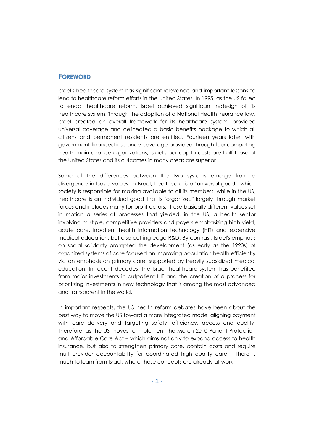#### **FOREWORD**

Israel's healthcare system has significant relevance and important lessons to lend to healthcare reform efforts in the United States. In 1995, as the US failed to enact healthcare reform, Israel achieved significant redesign of its healthcare system. Through the adoption of a National Health Insurance law, Israel created an overall framework for its healthcare system, provided universal coverage and delineated a basic benefits package to which all citizens and permanent residents are entitled. Fourteen years later, with government-financed insurance coverage provided through four competing health-maintenance organizations, Israel's per capita costs are half those of the United States and its outcomes in many areas are superior.

Some of the differences between the two systems emerge from a divergence in basic values: in Israel, healthcare is a "universal good," which society is responsible for making available to all its members, while in the US, healthcare is an individual good that is "organized" largely through market forces and includes many for-profit actors. These basically different values set in motion a series of processes that yielded, in the US, a health sector involving multiple, competitive providers and payers emphasizing high yield, acute care, inpatient health information technology (HIT) and expensive medical education, but also cutting edge R&D. By contrast, Israel's emphasis on social solidarity prompted the development (as early as the 1920s) of organized systems of care focused on improving population health efficiently via an emphasis on primary care, supported by heavily subsidized medical education. In recent decades, the Israeli healthcare system has benefited from major investments in outpatient HIT and the creation of a process for prioritizing investments in new technology that is among the most advanced and transparent in the world.

In important respects, the US health reform debates have been about the best way to move the US toward a more integrated model aligning payment with care delivery and targeting safety, efficiency, access and quality. Therefore, as the US moves to implement the March 2010 Patient Protection and Affordable Care Act – which aims not only to expand access to health insurance, but also to strengthen primary care, contain costs and require multi-provider accountability for coordinated high quality care – there is much to learn from Israel, where these concepts are already at work.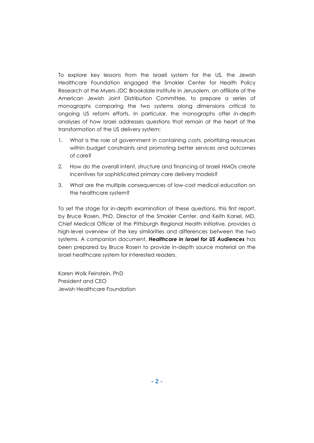To explore key lessons from the Israeli system for the US, the Jewish Healthcare Foundation engaged the Smokler Center for Health Policy Research at the Myers-JDC Brookdale Institute in Jerusalem, an affiliate of the American Jewish Joint Distribution Committee, to prepare a series of monographs comparing the two systems along dimensions critical to ongoing US reform efforts. In particular, the monographs offer in-depth analyses of how Israel addresses questions that remain at the heart of the transformation of the US delivery system:

- 1. What is the role of government in containing costs, prioritizing resources within budget constraints and promoting better services and outcomes of care?
- 2. How do the overall intent, structure and financing of Israeli HMOs create incentives for sophisticated primary care delivery models?
- 3. What are the multiple consequences of low-cost medical education on the healthcare system?

To set the stage for in-depth examination of these questions, this first report, by Bruce Rosen, PhD, Director of the Smokler Center, and Keith Kanel, MD, Chief Medical Officer of the Pittsburgh Regional Health Initiative, provides a high-level overview of the key similarities and differences between the two systems. A companion document, *Healthcare in Israel for US Audiences* has been prepared by Bruce Rosen to provide in-depth source material on the Israel healthcare system for interested readers.

Karen Wolk Feinstein, PhD President and CEO Jewish Healthcare Foundation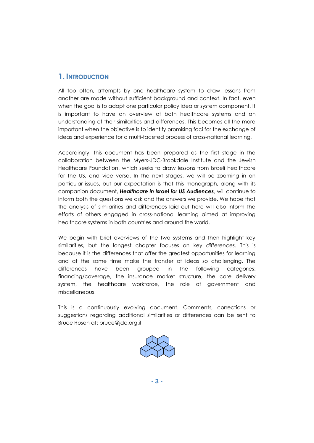# **1. INTRODUCTION**

All too often, attempts by one healthcare system to draw lessons from another are made without sufficient background and context. In fact, even when the goal is to adapt one particular policy idea or system component, it is important to have an overview of both healthcare systems and an understanding of their similarities and differences. This becomes all the more important when the objective is to identify promising foci for the exchange of ideas and experience for a multi-faceted process of cross-national learning.

Accordingly, this document has been prepared as the first stage in the collaboration between the Myers-JDC-Brookdale Institute and the Jewish Healthcare Foundation, which seeks to draw lessons from Israeli healthcare for the US, and vice versa. In the next stages, we will be zooming in on particular issues, but our expectation is that this monograph, along with its companion document, *Healthcare in Israel for US Audiences*, will continue to inform both the questions we ask and the answers we provide. We hope that the analysis of similarities and differences laid out here will also inform the efforts of others engaged in cross-national learning aimed at improving healthcare systems in both countries and around the world.

We begin with brief overviews of the two systems and then highlight key similarities, but the longest chapter focuses on key *differences*. This is because it is the differences that offer the greatest opportunities for learning and at the same time make the transfer of ideas so challenging. The differences have been grouped in the following categories: financing/coverage, the insurance market structure, the care delivery system, the healthcare workforce, the role of government and miscellaneous.

This is a continuously evolving document. Comments, corrections or suggestions regarding additional similarities or differences can be sent to Bruce Rosen at: [bruce@jdc.org.il](mailto:bruce@jdc.org.il)

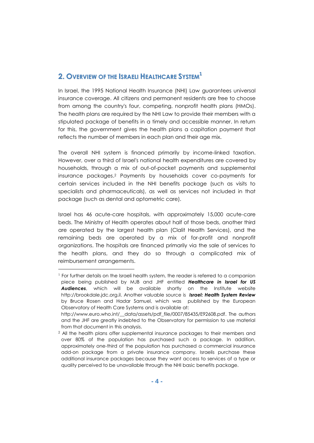# **2. OVERVIEW OF THE ISRAELI HEALTHCARE SYSTEM 1**

In Israel, the 1995 National Health Insurance (NHI) Law guarantees universal insurance coverage. All citizens and permanent residents are free to choose from among the country's four, competing, nonprofit health plans (HMOs). The health plans are required by the NHI Law to provide their members with a stipulated package of benefits in a timely and accessible manner. In return for this, the government gives the health plans a capitation payment that reflects the number of members in each plan and their age mix.

The overall NHI system is financed primarily by income-linked taxation. However, over a third of Israel's national health expenditures are covered by households, through a mix of out-of-pocket payments and supplemental insurance packages. <sup>2</sup> Payments by households cover co-payments for certain services included in the NHI benefits package (such as visits to specialists and pharmaceuticals), as well as services not included in that package (such as dental and optometric care).

Israel has 46 acute-care hospitals, with approximately 15,000 acute-care beds. The Ministry of Health operates about half of those beds, another third are operated by the largest health plan (Clalit Health Services), and the remaining beds are operated by a mix of for-profit and nonprofit organizations. The hospitals are financed primarily via the sale of services to the health plans, and they do so through a complicated mix of reimbursement arrangements.

<sup>1</sup> For further details on the Israeli health system, the reader is referred to a companion piece being published by MJB and JHF entitled *Healthcare in Israel for US Audiences*, which will be available shortly on the Institute website [http://brookdale.jdc.org.il.](http://brookdale.jdc.org.il/) Another valuable source is *Israel: Health System Review* by Bruce Rosen and Hadar Samuel, which was published by the European Observatory of Health Care Systems and is available at:

[http://www.euro.who.int/\\_\\_data/assets/pdf\\_file/0007/85435/E92608.pdf.](http://www.euro.who.int/__data/assets/pdf_file/0007/85435/E92608.pdf) The authors and the JHF are greatly indebted to the Observatory for permission to use material from that document in this analysis.

<sup>&</sup>lt;sup>2</sup> All the health plans offer supplemental insurance packages to their members and over 80% of the population has purchased such a package. In addition, approximately one-third of the population has purchased a commercial insurance add-on package from a private insurance company. Israelis purchase these additional insurance packages because they want access to services of a type or quality perceived to be unavailable through the NHI basic benefits package.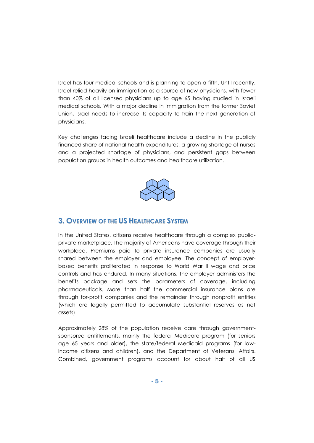Israel has four medical schools and is planning to open a fifth. Until recently, Israel relied heavily on immigration as a source of new physicians, with fewer than 40% of all licensed physicians up to age 65 having studied in Israeli medical schools. With a major decline in immigration from the former Soviet Union, Israel needs to increase its capacity to train the next generation of physicians.

Key challenges facing Israeli healthcare include a decline in the publicly financed share of national health expenditures, a growing shortage of nurses and a projected shortage of physicians, and persistent gaps between population groups in health outcomes and healthcare utilization.



## **3. OVERVIEW OF THE US HEALTHCARE SYSTEM**

In the United States, citizens receive healthcare through a complex publicprivate marketplace. The majority of Americans have coverage through their workplace. Premiums paid to private insurance companies are usually shared between the employer and employee. The concept of employerbased benefits proliferated in response to World War II wage and price controls and has endured. In many situations, the employer administers the benefits package and sets the parameters of coverage, including pharmaceuticals. More than half the commercial insurance plans are through for-profit companies and the remainder through nonprofit entities (which are legally permitted to accumulate substantial reserves as net assets).

Approximately 28% of the population receive care through governmentsponsored entitlements, mainly the federal Medicare program (for seniors age 65 years and older), the state/federal Medicaid programs (for lowincome citizens and children), and the Department of Veterans' Affairs. Combined, government programs account for about half of all US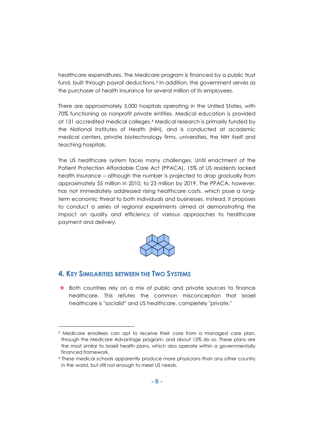healthcare expenditures. The Medicare program is financed by a public trust fund, built through payroll deductions. <sup>3</sup> In addition, the government serves as the purchaser of health insurance for several million of its employees.

There are approximately 5,000 hospitals operating in the United States, with 70% functioning as nonprofit private entities. Medical education is provided at 131 accredited medical colleges. <sup>4</sup> Medical research is primarily funded by the National Institutes of Health (NIH), and is conducted at academic medical centers, private biotechnology firms, universities, the NIH itself and teaching hospitals.

The US healthcare system faces many challenges. Until enactment of the Patient Protection Affordable Care Act (PPACA), 15% of US residents lacked health insurance – although the number is projected to drop gradually from approximately 55 million in 2010, to 23 million by 2019. The PPACA, however, has not immediately addressed rising healthcare costs, which pose a longterm economic threat to both individuals and businesses. Instead, it proposes to conduct a series of regional experiments aimed at demonstrating the impact on quality and efficiency of various approaches to healthcare payment and delivery.



### **4. KEY SIMILARITIES BETWEEN THE TWO SYSTEMS**

l

 $\cdot \cdot$  Both countries rely on a mix of public and private sources to finance healthcare. This refutes the common misconception that Israeli healthcare is "socialist" and US healthcare, completely "private."

<sup>&</sup>lt;sup>3</sup> Medicare enrollees can opt to receive their care from a managed care plan, through the Medicare Advantage program, and about 15% do so. These plans are the most similar to Israeli health plans, which also operate within a governmentally financed framework.

<sup>4</sup> These medical schools apparently produce more physicians than any other country in the world, but still not enough to meet US needs.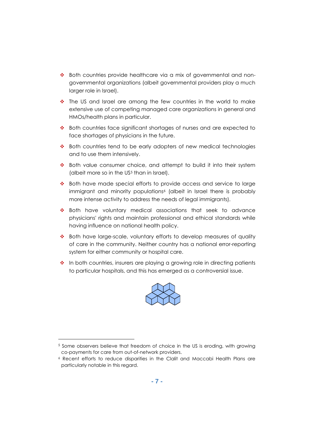- ◆ Both countries provide healthcare via a mix of governmental and nongovernmental organizations (albeit governmental providers play a much larger role in Israel).
- $\div$  The US and Israel are among the few countries in the world to make extensive use of competing managed care organizations in general and HMOs/health plans in particular.
- Both countries face significant shortages of nurses and are expected to face shortages of physicians in the future.
- Both countries tend to be early adopters of new medical technologies and to use them intensively.
- $\cdot \cdot$  Both value consumer choice, and attempt to build it into their system (albeit more so in the US<sup>5</sup> than in Israel).
- Both have made special efforts to provide access and service to large immigrant and minority populations<sup>6</sup> (albeit in Israel there is probably more intense activity to address the needs of legal immigrants).
- \* Both have voluntary medical associations that seek to advance physicians' rights and maintain professional and ethical standards while having influence on national health policy.
- \* Both have large-scale, voluntary efforts to develop measures of quality of care in the community. Neither country has a national error-reporting system for either community or hospital care.
- $\cdot \cdot$  In both countries, insurers are playing a growing role in directing patients to particular hospitals, and this has emerged as a controversial issue.



<sup>5</sup> Some observers believe that freedom of choice in the US is eroding, with growing co-payments for care from out-of-network providers.

<sup>6</sup> Recent efforts to reduce disparities in the Clalit and Maccabi Health Plans are particularly notable in this regard.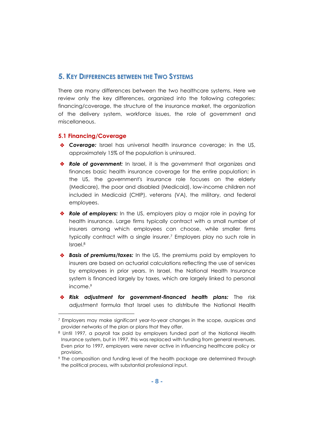# **5. KEY DIFFERENCES BETWEEN THE TWO SYSTEMS**

There are many differences between the two healthcare systems. Here we review only the key differences, organized into the following categories: financing/coverage, the structure of the insurance market, the organization of the delivery system, workforce issues, the role of government and miscellaneous.

#### **5.1 Financing/Coverage**

- *Coverage:* Israel has universal health insurance coverage; in the US, approximately 15% of the population is uninsured.
- **\*** Role of government: In Israel, it is the government that organizes and finances basic health insurance coverage for the entire population; in the US, the government's insurance role focuses on the elderly (Medicare), the poor and disabled (Medicaid), low-income children not included in Medicaid (CHIP), veterans (VA), the military, and federal employees.
- *Role of employers:* In the US, employers play a major role in paying for health insurance. Large firms typically contract with a small number of insurers among which employees can choose, while smaller firms typically contract with a single insurer. <sup>7</sup> Employers play no such role in Israel. 8
- **Basis of premiums/taxes:** In the US, the premiums paid by employers to insurers are based on actuarial calculations reflecting the use of services by employees in prior years. In Israel, the National Health Insurance system is financed largely by taxes, which are largely linked to personal income. 9
- *Risk adjustment for government-financed health plans:* The risk adjustment formula that Israel uses to distribute the National Health

<sup>7</sup> Employers may make significant year-to-year changes in the scope, auspices and provider networks of the plan or plans that they offer.

<sup>8</sup> Until 1997, a payroll tax paid by employers funded part of the National Health Insurance system, but in 1997, this was replaced with funding from general revenues. Even prior to 1997, employers were never active in influencing healthcare policy or provision.

<sup>9</sup> The composition and funding level of the health package are determined through the political process, with substantial professional input.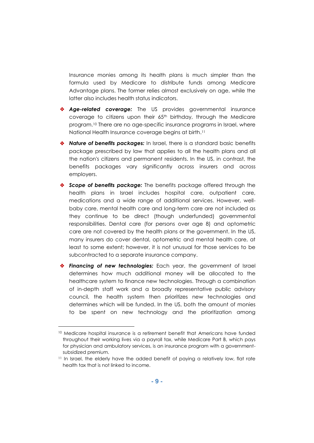Insurance monies among its health plans is much simpler than the formula used by Medicare to distribute funds among Medicare Advantage plans. The former relies almost exclusively on age, while the latter also includes health status indicators.

- *Age-related coverage:* The US provides governmental insurance coverage to citizens upon their 65<sup>th</sup> birthday, through the Medicare program. <sup>10</sup> There are no age-specific insurance programs in Israel, where National Health Insurance coverage begins at birth. 11
- *Nature of benefits packages:* In Israel, there is a standard basic benefits package prescribed by law that applies to all the health plans and all the nation's citizens and permanent residents. In the US, in contrast, the benefits packages vary significantly across insurers and across employers.
- *Scope of benefits package:* The benefits package offered through the health plans in Israel includes hospital care, outpatient care, medications and a wide range of additional services. However, wellbaby care, mental health care and long-term care are not included as they continue to be direct (though underfunded) governmental responsibilities. Dental care (for persons over age 8) and optometric care are not covered by the health plans or the government. In the US, many insurers do cover dental, optometric and mental health care, at least to some extent; however, it is not unusual for those services to be subcontracted to a separate insurance company.
- *Financing of new technologies:* Each year, the government of Israel determines how much additional money will be allocated to the healthcare system to finance new technologies. Through a combination of in-depth staff work and a broadly representative public advisory council, the health system then prioritizes new technologies and determines which will be funded. In the US, both the amount of monies to be spent on new technology and the prioritization among

<sup>10</sup> Medicare hospital insurance is a retirement benefit that Americans have funded throughout their working lives via a payroll tax, while Medicare Part B, which pays for physician and ambulatory services, is an insurance program with a governmentsubsidized premium.

<sup>&</sup>lt;sup>11</sup> In Israel, the elderly have the added benefit of paying a relatively low, flat rate health tax that is not linked to income.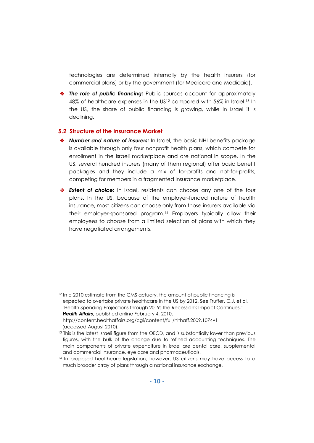technologies are determined internally by the health insurers (for commercial plans) or by the government (for Medicare and Medicaid).

**The role of public financing:** Public sources account for approximately 48% of healthcare expenses in the US12 compared with 56% in Israel.<sup>13</sup> In the US, the share of public financing is growing, while in Israel it is declining.

#### **5.2 Structure of the Insurance Market**

- *Number and nature of insurers:* In Israel, the basic NHI benefits package is available through only four nonprofit health plans, which compete for enrollment in the Israeli marketplace and are national in scope. In the US, several hundred insurers (many of them regional) offer basic benefit packages and they include a mix of for-profits and not-for-profits, competing for members in a fragmented insurance marketplace.
- *Extent of choice:* In Israel, residents can choose any one of the four plans. In the US, because of the employer-funded nature of health insurance, most citizens can choose only from those insurers available via their employer-sponsored program.<sup>14</sup> Employers typically allow their employees to choose from a limited selection of plans with which they have negotiated arrangements.

<sup>&</sup>lt;sup>12</sup> In a 2010 estimate from the CMS actuary, the amount of public financing is expected to overtake private healthcare in the US by 2012. See Truffer, C.J. et al, "Health Spending Projections through 2019: The Recession's Impact Continues," *Health Affairs*, published online February 4, 2010, <http://content.healthaffairs.org/cgi/content/full/hlthaff.2009.1074v1> (accessed August 2010).

<sup>&</sup>lt;sup>13</sup> This is the latest Israeli figure from the OECD, and is substantially lower than previous figures, with the bulk of the change due to refined accounting techniques. The main components of private expenditure in Israel are dental care, supplemental and commercial insurance, eye care and pharmaceuticals.

<sup>&</sup>lt;sup>14</sup> In proposed healthcare legislation, however, US citizens may have access to a much broader array of plans through a national insurance exchange.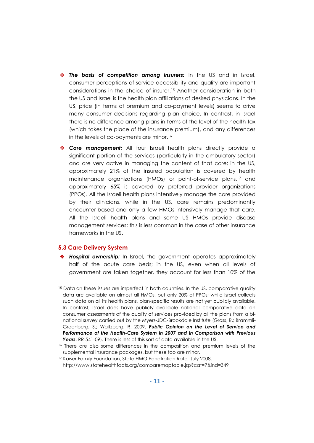- *The basis of competition among insurers:* In the US and in Israel, consumer perceptions of service accessibility and quality are important considerations in the choice of insurer. <sup>15</sup> Another consideration in both the US and Israel is the health plan affiliations of desired physicians. In the US, price (in terms of premium and co-payment levels) seems to drive many consumer decisions regarding plan choice. In contrast, in Israel there is no difference among plans in terms of the level of the health tax (which takes the place of the insurance premium), and any differences in the levels of co-payments are minor. 16
- *Care management:* All four Israeli health plans directly provide a significant portion of the services (particularly in the ambulatory sector) and are very active in managing the content of that care; in the US, approximately 21% of the insured population is covered by health maintenance organizations (HMOs) or point-of-service plans, <sup>17</sup> and approximately 65% is covered by preferred provider organizations (PPOs). All the Israeli health plans intensively manage the care provided by their clinicians, while in the US, care remains predominantly encounter-based and only a few HMOs intensively manage that care. All the Israeli health plans and some US HMOs provide disease management services; this is less common in the case of other insurance frameworks in the US.

#### **5.3 Care Delivery System**

l

 *Hospital ownership:* In Israel, the government operates approximately half of the acute care beds; in the US, even when all levels of government are taken together, they account for less than 10% of the

<sup>&</sup>lt;sup>15</sup> Data on these issues are imperfect in both countries. In the US, comparative quality data are available on almost all HMOs, but only 20% of PPOs; while Israel collects such data on all its health plans, plan-specific results are not yet publicly available. In contrast, Israel does have publicly available national comparative data on consumer assessments of the quality of services provided by all the plans from a binational survey carried out by the Myers-JDC-Brookdale Institute (Gross, R.; Brammli-Greenberg, S.; Waitzberg, R. 2009. *Public Opinion on the Level of Service and Performance of the Health-Care System in 2007 and in Comparison with Previous Years*. RR-541-09). There is less of this sort of data available in the US.

<sup>&</sup>lt;sup>16</sup> There are also some differences in the composition and premium levels of the supplemental insurance packages, but these too are minor.

<sup>&</sup>lt;sup>17</sup> Kaiser Family Foundation, State HMO Penetration Rate, July 2008, <http://www.statehealthfacts.org/comparemaptable.jsp?cat=7&ind=349>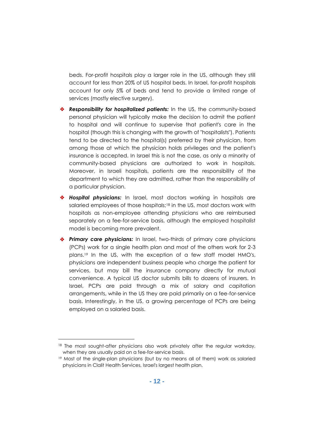beds. For-profit hospitals play a larger role in the US, although they still account for less than 20% of US hospital beds. In Israel, for-profit hospitals account for only 5% of beds and tend to provide a limited range of services (mostly elective surgery).

- *Responsibility for hospitalized patients:* In the US, the community-based personal physician will typically make the decision to admit the patient to hospital and will continue to supervise that patient's care in the hospital (though this is changing with the growth of "hospitalists"). Patients tend to be directed to the hospital(s) preferred by their physician, from among those at which the physician holds privileges and the patient's insurance is accepted. In Israel this is not the case, as only a minority of community-based physicians are authorized to work in hospitals. Moreover, in Israeli hospitals, patients are the responsibility of the department to which they are admitted, rather than the responsibility of a particular physician.
- *Hospital physicians:* In Israel, most doctors working in hospitals are salaried employees of those hospitals; <sup>18</sup> in the US, most doctors work with hospitals as non-employee attending physicians who are reimbursed separately on a fee-for-service basis, although the employed hospitalist model is becoming more prevalent.
- *Primary care physicians:* In Israel, two-thirds of primary care physicians (PCPs) work for a single health plan and most of the others work for 2-3 plans. <sup>19</sup> In the US, with the exception of a few staff model HMO's, physicians are independent business people who charge the patient for services, but may bill the insurance company directly for mutual convenience. A typical US doctor submits bills to dozens of insurers. In Israel, PCPs are paid through a mix of salary and capitation arrangements, while in the US they are paid primarily on a fee-for-service basis. Interestingly, in the US, a growing percentage of PCPs are being employed on a salaried basis.

<sup>&</sup>lt;sup>18</sup> The most sought-after physicians also work privately after the regular workday, when they are usually paid on a fee-for-service basis.

<sup>19</sup> Most of the single-plan physicians (but by no means all of them) work as salaried physicians in Clalit Health Services, Israel's largest health plan.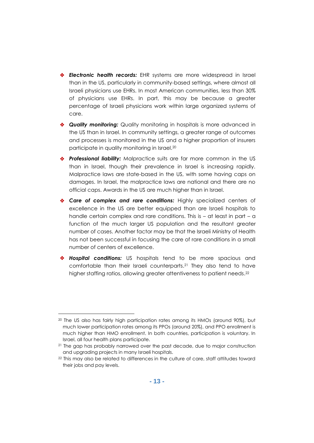- *Electronic health records:* EHR systems are more widespread in Israel than in the US, particularly in community-based settings, where almost all Israeli physicians use EHRs. In most American communities, less than 30% of physicians use EHRs. In part, this may be because a greater percentage of Israeli physicians work within large organized systems of care.
- *Quality monitoring:* Quality monitoring in hospitals is more advanced in the US than in Israel. In community settings, a greater range of outcomes and processes is monitored in the US and a higher proportion of insurers participate in quality monitoring in Israel.<sup>20</sup>
- *Professional liability:* Malpractice suits are far more common in the US than in Israel, though their prevalence in Israel is increasing rapidly. Malpractice laws are state-based in the US, with some having caps on damages. In Israel, the malpractice laws are national and there are no official caps. Awards in the US are much higher than in Israel.
- *Care of complex and rare conditions:* Highly specialized centers of excellence in the US are better equipped than are Israeli hospitals to handle certain complex and rare conditions. This is - at least in part - a function of the much larger US population and the resultant greater number of cases. Another factor may be that the Israeli Ministry of Health has not been successful in focusing the care of rare conditions in a small number of centers of excellence.
- *Hospital conditions:* US hospitals tend to be more spacious and comfortable than their Israeli counterparts. <sup>21</sup> They also tend to have higher staffing ratios, allowing greater attentiveness to patient needs. 22

<sup>20</sup> The US also has fairly high participation rates among its HMOs (around 90%), but much lower participation rates among its PPOs (around 20%), and PPO enrollment is much higher than HMO enrollment. In both countries, participation is voluntary. In Israel, all four health plans participate.

<sup>&</sup>lt;sup>21</sup> The gap has probably narrowed over the past decade, due to major construction and upgrading projects in many Israeli hospitals.

<sup>&</sup>lt;sup>22</sup> This may also be related to differences in the culture of care, staff attitudes toward their jobs and pay levels.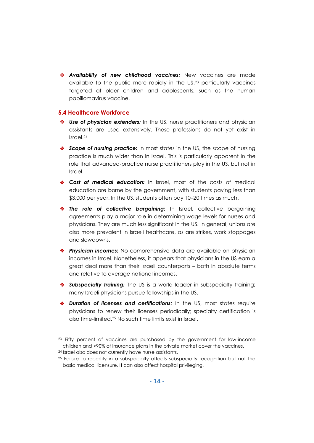*Availability of new childhood vaccines:* New vaccines are made available to the public more rapidly in the US, <sup>23</sup> particularly vaccines targeted at older children and adolescents, such as the human papillomavirus vaccine.

#### **5.4 Healthcare Workforce**

- ◆ **Use of physician extenders:** In the US, nurse practitioners and physician assistants are used extensively. These professions do not yet exist in Israel. 24
- *Scope of nursing practice:* In most states in the US, the scope of nursing practice is much wider than in Israel. This is particularly apparent in the role that advanced-practice nurse practitioners play in the US, but not in Israel.
- *Cost of medical education:* In Israel, most of the costs of medical education are borne by the government, with students paying less than \$3,000 per year. In the US, students often pay 10–20 times as much.
- *The role of collective bargaining:* In Israel, collective bargaining agreements play a major role in determining wage levels for nurses and physicians. They are much less significant in the US. In general, unions are also more prevalent in Israeli healthcare, as are strikes, work stoppages and slowdowns.
- *Physician incomes:* No comprehensive data are available on physician incomes in Israel. Nonetheless, it appears that physicians in the US earn a great deal more than their Israeli counterparts – both in absolute terms and relative to average national incomes.
- *Subspecialty training:* The US is a world leader in subspecialty training; many Israeli physicians pursue fellowships in the US.
- *Duration of licenses and certifications:* In the US, most states require physicians to renew their licenses periodically; specialty certification is also time-limited. <sup>25</sup> No such time limits exist in Israel.

<sup>23</sup> Fifty percent of vaccines are purchased by the government for low-income children and >90% of insurance plans in the private market cover the vaccines.

<sup>24</sup> Israel also does not currently have nurse assistants.

<sup>&</sup>lt;sup>25</sup> Failure to recertify in a subspecialty affects subspecialty recognition but not the basic medical licensure. It can also affect hospital privileging.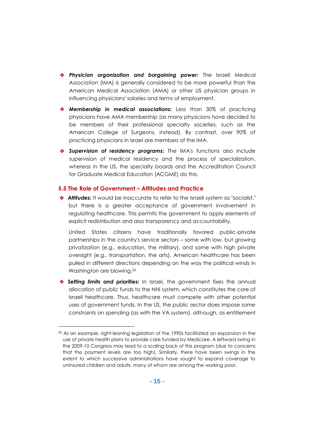- *Physician organization and bargaining power:* The Israeli Medical Association (IMA) is generally considered to be more powerful than the American Medical Association (AMA) or other US physician groups in influencing physicians' salaries and terms of employment.
- *Membership in medical associations:* Less than 30% of practicing physicians have AMA membership (as many physicians have decided to be members of their professional specialty societies, such as the American College of Surgeons, instead). By contrast, over 90% of practicing physicians in Israel are members of the IMA.
- *Supervision of residency programs:* The IMA's functions also include supervision of medical residency and the process of specialization, whereas in the US, the specialty boards and the Accreditation Council for Graduate Medical Education (ACGME) do this.

#### **5.5 The Role of Government – Attitudes and Practice**

l

 *Attitudes:* It would be inaccurate to refer to the Israeli system as "socialist," but there is a greater acceptance of government involvement in regulating healthcare. This permits the government to apply elements of explicit redistribution and also transparency and accountability.

United States citizens have traditionally favored public-private partnerships in the country's service sectors – some with low, but growing privatization (e.g., education, the military), and some with high private oversight (e.g., transportation, the arts). American healthcare has been pulled in different directions depending on the way the political winds in Washington are blowing. 26

 *Setting limits and priorities:* In Israel, the government fixes the annual allocation of public funds to the NHI system, which constitutes the core of Israeli healthcare. Thus, healthcare must compete with other potential uses of government funds. In the US, the public sector does impose some constraints on spending (as with the VA system), although, as entitlement

<sup>&</sup>lt;sup>26</sup> As an example, right-leaning legislation of the 1990s facilitated an expansion in the use of private health plans to provide care funded by Medicare. A leftward swing in the 2009-10 Congress may lead to a scaling back of this program (due to concerns that the payment levels are too high). Similarly, there have been swings in the extent to which successive administrations have sought to expand coverage to uninsured children and adults, many of whom are among the working poor.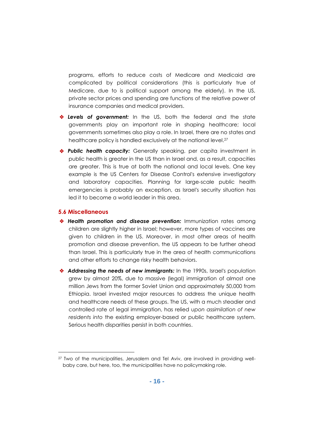programs, efforts to reduce costs of Medicare and Medicaid are complicated by political considerations (this is particularly true of Medicare, due to is political support among the elderly). In the US, private sector prices and spending are functions of the relative power of insurance companies and medical providers.

- *Levels of government:* In the US, both the federal and the state governments play an important role in shaping healthcare; local governments sometimes also play a role. In Israel, there are no states and healthcare policy is handled exclusively at the national level. 27
- *Public health capacity:* Generally speaking, per capita investment in public health is greater in the US than in Israel and, as a result, capacities are greater. This is true at both the national and local levels. One key example is the US Centers for Disease Control's extensive investigatory and laboratory capacities. Planning for large-scale public health emergencies is probably an exception, as Israel's security situation has led it to become a world leader in this area.

#### **5.6 Miscellaneous**

- **\*** Health promotion and disease prevention: Immunization rates among children are slightly higher in Israel; however, more types of vaccines are given to children in the US. Moreover, in most other areas of health promotion and disease prevention, the US appears to be further ahead than Israel. This is particularly true in the area of health communications and other efforts to change risky health behaviors.
- *Addressing the needs of new immigrants:* In the 1990s, Israel's population grew by almost 20%, due to massive (legal) immigration of almost one million Jews from the former Soviet Union and approximately 50,000 from Ethiopia. Israel invested major resources to address the unique health and healthcare needs of these groups. The US, with a much steadier and controlled rate of legal immigration, has relied u*pon assimilation of new residents into* the existing employer-based or public healthcare system. Serious health disparities persist in both countries.

<sup>27</sup> Two of the municipalities, Jerusalem and Tel Aviv, are involved in providing wellbaby care, but here, too, the municipalities have no policymaking role.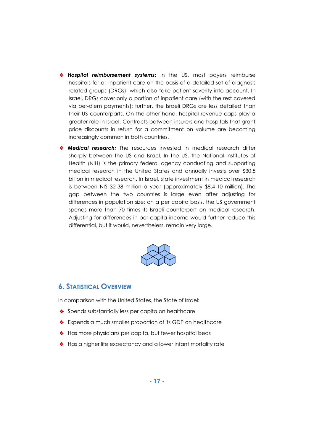- *Hospital reimbursement systems:* In the US, most payers reimburse hospitals for all inpatient care on the basis of a detailed set of diagnosis related groups (DRGs), which also take patient severity into account. In Israel, DRGs cover only a portion of inpatient care (with the rest covered via per-diem payments); further, the Israeli DRGs are less detailed than their US counterparts. On the other hand, hospital revenue caps play a greater role in Israel. Contracts between insurers and hospitals that grant price discounts in return for a commitment on volume are becoming increasingly common in both countries.
- *Medical research:* The resources invested in medical research differ sharply between the US and Israel. In the US, the National Institutes of Health (NIH) is the primary federal agency conducting and supporting medical research in the United States and annually invests over \$30.5 billion in medical research. In Israel, state investment in medical research is between NIS 32-38 million a year (approximately \$8.4-10 million). The gap between the two countries is large even after adjusting for differences in population size; on a per capita basis, the US government spends more than 70 times its Israeli counterpart on medical research. Adjusting for differences in per capita income would further reduce this differential, but it would, nevertheless, remain very large.



# **6. STATISTICAL OVERVIEW**

In comparison with the United States, the State of Israel:

- Spends substantially less per capita on healthcare
- Expends a much smaller proportion of its GDP on healthcare
- ◆ Has more physicians per capita, but fewer hospital beds
- ◆ Has a higher life expectancy and a lower infant mortality rate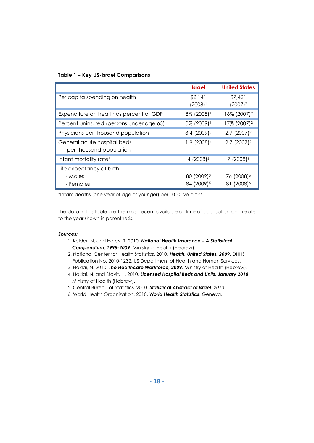#### **Table 1 – Key US-Israel Comparisons**

|                                                        | <b>Israel</b>                                    | <b>United States</b>                             |
|--------------------------------------------------------|--------------------------------------------------|--------------------------------------------------|
| Per capita spending on health                          | \$2,141<br>$(2008)^{1}$                          | \$7,421<br>$(2007)^2$                            |
| Expenditure on health as percent of GDP                | 8% (2008)                                        | 16% (2007) <sup>2</sup>                          |
| Percent uninsured (persons under age 65)               | 0% (2009)                                        | 17% (2007) <sup>2</sup>                          |
| Physicians per thousand population                     | $3.4(2009)^3$                                    | $2.7(2007)^2$                                    |
| General acute hospital beds<br>per thousand population | 1.9 (2008) <sup>4</sup>                          | $2.7$ (2007) <sup>2</sup>                        |
| Infant mortality rate*                                 | 4 (2008) <sup>5</sup>                            | 7 (2008) <sup>6</sup>                            |
| Life expectancy at birth<br>- Males<br>- Females       | 80 (2009) <sup>5</sup><br>84 (2009) <sup>5</sup> | 76 (2008) <sup>6</sup><br>81 (2008) <sup>6</sup> |

\*Infant deaths (one year of age or younger) per 1000 live births

The data in this table are the most recent available at time of publication and relate to the year shown in parenthesis.

#### *Sources:*

- 1. Keidar, N. and Horev, T. 2010. *National Health Insurance – A Statistical Compendium, 1995-2009*. Ministry of Health (Hebrew).
- 2. National Center for Health Statistics. 2010. *Health, United States, 2009*. DHHS Publication No. 2010-1232. US Department of Health and Human Services.
- 3. Haklai, N. 2010. *The Healthcare Workforce, 2009*. Ministry of Health (Hebrew).
- 4. Haklai, N. and Stavit, H. 2010. *Licensed Hospital Beds and Units, January 2010*. Ministry of Health (Hebrew).
- 5. Central Bureau of Statistics. 2010. *Statistical Abstract of Israel, 2010*.
- 6. World Health Organization. 2010. *World Health Statistics*. Geneva.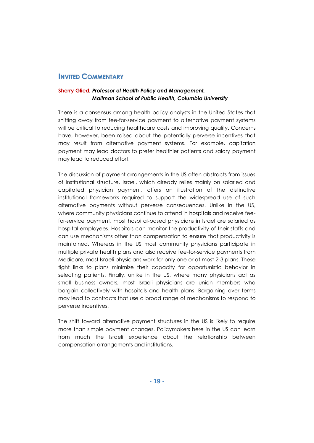## **INVITED COMMENTARY**

#### **Sherry Glied,** *Professor of Health Policy and Management, Mailman School of Public Health, Columbia University*

There is a consensus among health policy analysts in the United States that shifting away from fee-for-service payment to alternative payment systems will be critical to reducing healthcare costs and improving quality. Concerns have, however, been raised about the potentially perverse incentives that may result from alternative payment systems. For example, capitation payment may lead doctors to prefer healthier patients and salary payment may lead to reduced effort.

The discussion of payment arrangements in the US often abstracts from issues of institutional structure. Israel, which already relies mainly on salaried and capitated physician payment, offers an illustration of the distinctive institutional frameworks required to support the widespread use of such alternative payments without perverse consequences. Unlike in the US, where community physicians continue to attend in hospitals and receive feefor-service payment, most hospital-based physicians in Israel are salaried as hospital employees. Hospitals can monitor the productivity of their staffs and can use mechanisms other than compensation to ensure that productivity is maintained. Whereas in the US most community physicians participate in multiple private health plans and also receive fee-for-service payments from Medicare, most Israeli physicians work for only one or at most 2-3 plans. These tight links to plans minimize their capacity for opportunistic behavior in selecting patients. Finally, unlike in the US, where many physicians act as small business owners, most Israeli physicians are union members who bargain collectively with hospitals and health plans. Bargaining over terms may lead to contracts that use a broad range of mechanisms to respond to perverse incentives.

The shift toward alternative payment structures in the US is likely to require more than simple payment changes. Policymakers here in the US can learn from much the Israeli experience about the relationship between compensation arrangements and institutions.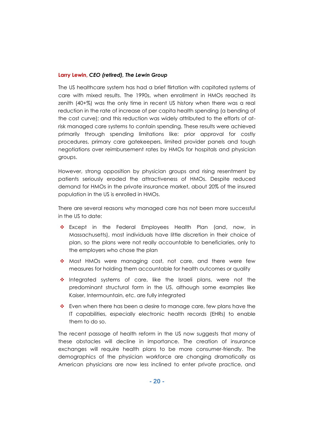#### **Larry Lewin,** *CEO (retired), The Lewin Group*

The US healthcare system has had a brief flirtation with capitated systems of care with mixed results. The 1990s, when enrollment in HMOs reached its zenith (40+%) was the only time in recent US history when there was a real reduction in the rate of increase of per capita health spending (a bending of the cost curve); and this reduction was widely attributed to the efforts of atrisk managed care systems to contain spending. These results were achieved primarily through spending limitations like: prior approval for costly procedures, primary care gatekeepers, limited provider panels and tough negotiations over reimbursement rates by HMOs for hospitals and physician groups.

However, strong opposition by physician groups and rising resentment by patients seriously eroded the attractiveness of HMOs. Despite reduced demand for HMOs in the private insurance market, about 20% of the insured population in the US is enrolled in HMOs.

There are several reasons why managed care has not been more successful in the US to date:

- Except in the Federal Employees Health Plan (and, now, in Massachusetts), most individuals have little discretion in their choice of plan, so the plans were not really accountable to beneficiaries, only to the employers who chose the plan
- Most HMOs were managing cost, not care, and there were few measures for holding them accountable for health outcomes or quality
- $\div$  Integrated systems of care, like the Israeli plans, were not the predominant structural form in the US, although some examples like Kaiser, Intermountain, etc. are fully integrated
- $\cdot \cdot$  Even when there has been a desire to manage care, few plans have the IT capabilities, especially electronic health records (EHRs) to enable them to do so.

The recent passage of health reform in the US now suggests that many of these obstacles will decline in importance. The creation of insurance exchanges will require health plans to be more consumer-friendly. The demographics of the physician workforce are changing dramatically as American physicians are now less inclined to enter private practice, and